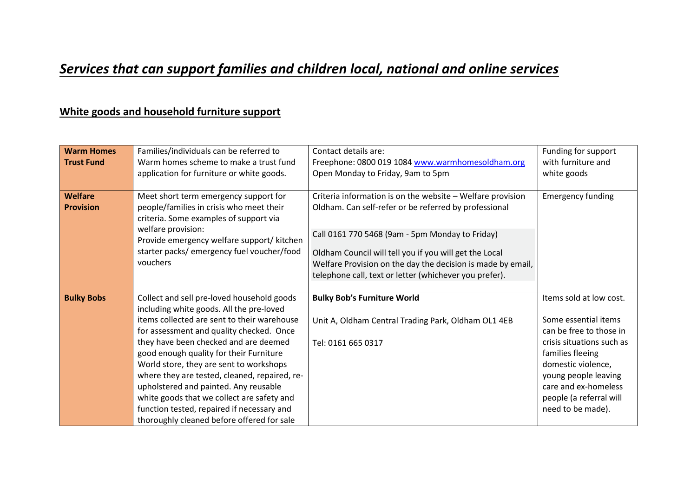## *Services that can support families and children local, national and online services*

#### **White goods and household furniture support**

| <b>Warm Homes</b><br><b>Trust Fund</b> | Families/individuals can be referred to<br>Warm homes scheme to make a trust fund<br>application for furniture or white goods.                                                                                                                                                                                                                                                                                                                                                                                                                       | Contact details are:<br>Freephone: 0800 019 1084 www.warmhomesoldham.org<br>Open Monday to Friday, 9am to 5pm                                                                                                                                                                                                                                             | Funding for support<br>with furniture and<br>white goods                                                                                                                                                                                          |
|----------------------------------------|------------------------------------------------------------------------------------------------------------------------------------------------------------------------------------------------------------------------------------------------------------------------------------------------------------------------------------------------------------------------------------------------------------------------------------------------------------------------------------------------------------------------------------------------------|-----------------------------------------------------------------------------------------------------------------------------------------------------------------------------------------------------------------------------------------------------------------------------------------------------------------------------------------------------------|---------------------------------------------------------------------------------------------------------------------------------------------------------------------------------------------------------------------------------------------------|
| Welfare<br><b>Provision</b>            | Meet short term emergency support for<br>people/families in crisis who meet their<br>criteria. Some examples of support via<br>welfare provision:<br>Provide emergency welfare support/ kitchen<br>starter packs/ emergency fuel voucher/food<br>vouchers                                                                                                                                                                                                                                                                                            | Criteria information is on the website - Welfare provision<br>Oldham. Can self-refer or be referred by professional<br>Call 0161 770 5468 (9am - 5pm Monday to Friday)<br>Oldham Council will tell you if you will get the Local<br>Welfare Provision on the day the decision is made by email,<br>telephone call, text or letter (whichever you prefer). | <b>Emergency funding</b>                                                                                                                                                                                                                          |
| <b>Bulky Bobs</b>                      | Collect and sell pre-loved household goods<br>including white goods. All the pre-loved<br>items collected are sent to their warehouse<br>for assessment and quality checked. Once<br>they have been checked and are deemed<br>good enough quality for their Furniture<br>World store, they are sent to workshops<br>where they are tested, cleaned, repaired, re-<br>upholstered and painted. Any reusable<br>white goods that we collect are safety and<br>function tested, repaired if necessary and<br>thoroughly cleaned before offered for sale | <b>Bulky Bob's Furniture World</b><br>Unit A, Oldham Central Trading Park, Oldham OL1 4EB<br>Tel: 0161 665 0317                                                                                                                                                                                                                                           | Items sold at low cost.<br>Some essential items<br>can be free to those in<br>crisis situations such as<br>families fleeing<br>domestic violence,<br>young people leaving<br>care and ex-homeless<br>people (a referral will<br>need to be made). |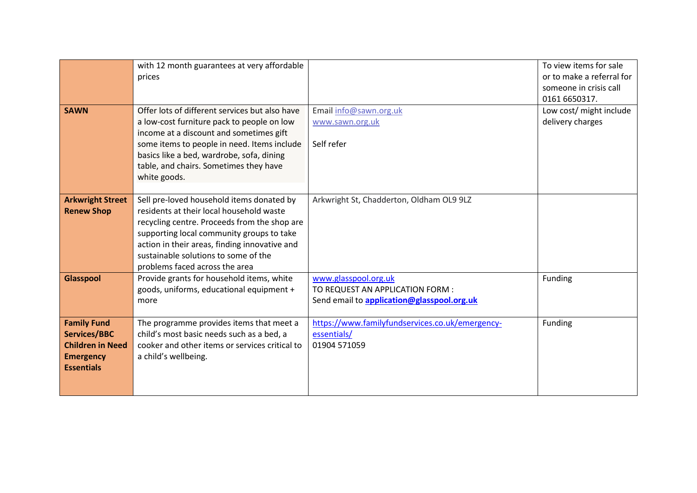| <b>SAWN</b>                                                                                                   | with 12 month guarantees at very affordable<br>prices<br>Offer lots of different services but also have<br>a low-cost furniture pack to people on low<br>income at a discount and sometimes gift<br>some items to people in need. Items include<br>basics like a bed, wardrobe, sofa, dining<br>table, and chairs. Sometimes they have<br>white goods. | Email info@sawn.org.uk<br>www.sawn.org.uk<br>Self refer                                                | To view items for sale<br>or to make a referral for<br>someone in crisis call<br>0161 6650317.<br>Low cost/ might include<br>delivery charges |
|---------------------------------------------------------------------------------------------------------------|--------------------------------------------------------------------------------------------------------------------------------------------------------------------------------------------------------------------------------------------------------------------------------------------------------------------------------------------------------|--------------------------------------------------------------------------------------------------------|-----------------------------------------------------------------------------------------------------------------------------------------------|
| <b>Arkwright Street</b><br><b>Renew Shop</b>                                                                  | Sell pre-loved household items donated by<br>residents at their local household waste<br>recycling centre. Proceeds from the shop are<br>supporting local community groups to take<br>action in their areas, finding innovative and<br>sustainable solutions to some of the<br>problems faced across the area                                          | Arkwright St, Chadderton, Oldham OL9 9LZ                                                               |                                                                                                                                               |
| Glasspool                                                                                                     | Provide grants for household items, white<br>goods, uniforms, educational equipment +<br>more                                                                                                                                                                                                                                                          | www.glasspool.org.uk<br>TO REQUEST AN APPLICATION FORM :<br>Send email to application@glasspool.org.uk | Funding                                                                                                                                       |
| <b>Family Fund</b><br><b>Services/BBC</b><br><b>Children in Need</b><br><b>Emergency</b><br><b>Essentials</b> | The programme provides items that meet a<br>child's most basic needs such as a bed, a<br>cooker and other items or services critical to<br>a child's wellbeing.                                                                                                                                                                                        | https://www.familyfundservices.co.uk/emergency-<br>essentials/<br>01904 571059                         | Funding                                                                                                                                       |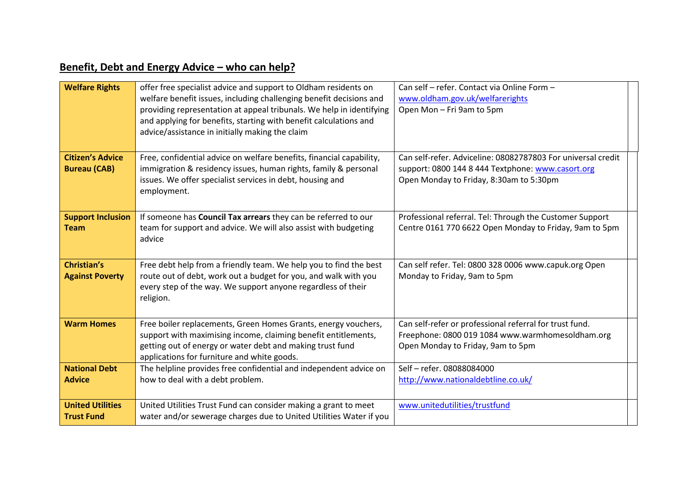## **Benefit, Debt and Energy Advice – who can help?**

| <b>Welfare Rights</b>                          | offer free specialist advice and support to Oldham residents on<br>welfare benefit issues, including challenging benefit decisions and<br>providing representation at appeal tribunals. We help in identifying<br>and applying for benefits, starting with benefit calculations and<br>advice/assistance in initially making the claim | Can self - refer. Contact via Online Form -<br>www.oldham.gov.uk/welfarerights<br>Open Mon - Fri 9am to 5pm                                                  |
|------------------------------------------------|----------------------------------------------------------------------------------------------------------------------------------------------------------------------------------------------------------------------------------------------------------------------------------------------------------------------------------------|--------------------------------------------------------------------------------------------------------------------------------------------------------------|
|                                                |                                                                                                                                                                                                                                                                                                                                        |                                                                                                                                                              |
| <b>Citizen's Advice</b><br><b>Bureau (CAB)</b> | Free, confidential advice on welfare benefits, financial capability,<br>immigration & residency issues, human rights, family & personal<br>issues. We offer specialist services in debt, housing and<br>employment.                                                                                                                    | Can self-refer. Adviceline: 08082787803 For universal credit<br>support: 0800 144 8 444 Textphone: www.casort.org<br>Open Monday to Friday, 8:30am to 5:30pm |
| <b>Support Inclusion</b><br><b>Team</b>        | If someone has Council Tax arrears they can be referred to our<br>team for support and advice. We will also assist with budgeting<br>advice                                                                                                                                                                                            | Professional referral. Tel: Through the Customer Support<br>Centre 0161 770 6622 Open Monday to Friday, 9am to 5pm                                           |
| <b>Christian's</b><br><b>Against Poverty</b>   | Free debt help from a friendly team. We help you to find the best<br>route out of debt, work out a budget for you, and walk with you<br>every step of the way. We support anyone regardless of their<br>religion.                                                                                                                      | Can self refer. Tel: 0800 328 0006 www.capuk.org Open<br>Monday to Friday, 9am to 5pm                                                                        |
| <b>Warm Homes</b>                              | Free boiler replacements, Green Homes Grants, energy vouchers,<br>support with maximising income, claiming benefit entitlements,<br>getting out of energy or water debt and making trust fund<br>applications for furniture and white goods.                                                                                           | Can self-refer or professional referral for trust fund.<br>Freephone: 0800 019 1084 www.warmhomesoldham.org<br>Open Monday to Friday, 9am to 5pm             |
| <b>National Debt</b><br><b>Advice</b>          | The helpline provides free confidential and independent advice on<br>how to deal with a debt problem.                                                                                                                                                                                                                                  | Self - refer. 08088084000<br>http://www.nationaldebtline.co.uk/                                                                                              |
| <b>United Utilities</b><br><b>Trust Fund</b>   | United Utilities Trust Fund can consider making a grant to meet<br>water and/or sewerage charges due to United Utilities Water if you                                                                                                                                                                                                  | www.unitedutilities/trustfund                                                                                                                                |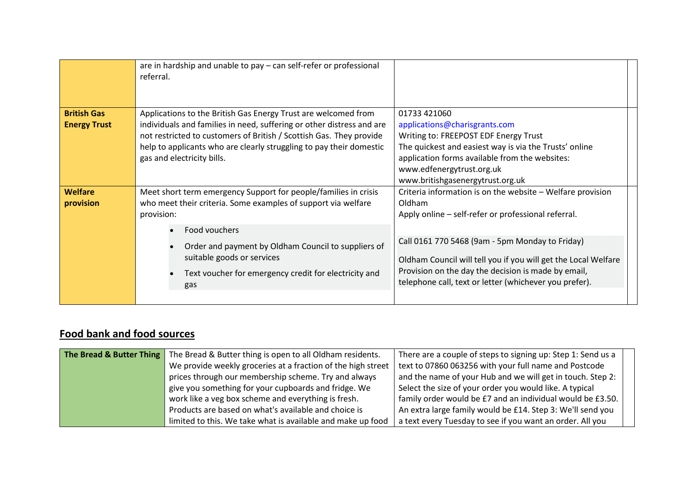| referral.                                                                                                                                                                                                                                                                                                            |                                                                                                                                                                                                                                                                                                                                                                   |
|----------------------------------------------------------------------------------------------------------------------------------------------------------------------------------------------------------------------------------------------------------------------------------------------------------------------|-------------------------------------------------------------------------------------------------------------------------------------------------------------------------------------------------------------------------------------------------------------------------------------------------------------------------------------------------------------------|
| Applications to the British Gas Energy Trust are welcomed from<br>individuals and families in need, suffering or other distress and are<br>not restricted to customers of British / Scottish Gas. They provide<br>help to applicants who are clearly struggling to pay their domestic<br>gas and electricity bills.  | 01733 421060<br>applications@charisgrants.com<br>Writing to: FREEPOST EDF Energy Trust<br>The quickest and easiest way is via the Trusts' online<br>application forms available from the websites:<br>www.edfenergytrust.org.uk<br>www.britishgasenergytrust.org.uk                                                                                               |
| Meet short term emergency Support for people/families in crisis<br>who meet their criteria. Some examples of support via welfare<br>provision:<br>Food vouchers<br>Order and payment by Oldham Council to suppliers of<br>suitable goods or services<br>Text voucher for emergency credit for electricity and<br>gas | Criteria information is on the website - Welfare provision<br>Oldham<br>Apply online – self-refer or professional referral.<br>Call 0161 770 5468 (9am - 5pm Monday to Friday)<br>Oldham Council will tell you if you will get the Local Welfare<br>Provision on the day the decision is made by email,<br>telephone call, text or letter (whichever you prefer). |
|                                                                                                                                                                                                                                                                                                                      |                                                                                                                                                                                                                                                                                                                                                                   |

#### **Food bank and food sources**

| The Bread & Butter Thing   The Bread & Butter thing is open to all Oldham residents. | There are a couple of steps to signing up: Step 1: Send us a |
|--------------------------------------------------------------------------------------|--------------------------------------------------------------|
| We provide weekly groceries at a fraction of the high street                         | text to 07860 063256 with your full name and Postcode        |
| prices through our membership scheme. Try and always                                 | and the name of your Hub and we will get in touch. Step 2:   |
| give you something for your cupboards and fridge. We                                 | Select the size of your order you would like. A typical      |
| work like a veg box scheme and everything is fresh.                                  | family order would be £7 and an individual would be £3.50.   |
| Products are based on what's available and choice is                                 | An extra large family would be £14. Step 3: We'll send you   |
| limited to this. We take what is available and make up food                          | a text every Tuesday to see if you want an order. All you    |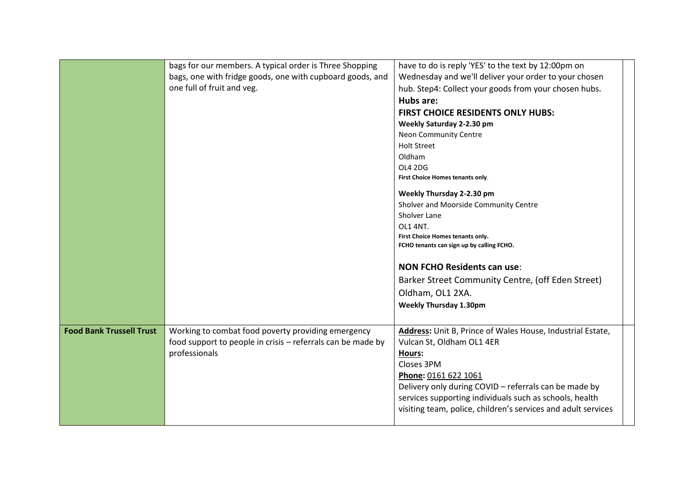|                                 | bags for our members. A typical order is Three Shopping<br>bags, one with fridge goods, one with cupboard goods, and<br>one full of fruit and veg. | have to do is reply 'YES' to the text by 12:00pm on<br>Wednesday and we'll deliver your order to your chosen<br>hub. Step4: Collect your goods from your chosen hubs.<br>Hubs are:<br>FIRST CHOICE RESIDENTS ONLY HUBS:<br>Weekly Saturday 2-2.30 pm<br>Neon Community Centre<br><b>Holt Street</b><br>Oldham<br>OL4 2DG<br>First Choice Homes tenants only.<br>Weekly Thursday 2-2.30 pm<br>Sholver and Moorside Community Centre<br>Sholver Lane<br>OL1 4NT.<br>First Choice Homes tenants only.<br>FCHO tenants can sign up by calling FCHO.<br><b>NON FCHO Residents can use:</b><br>Barker Street Community Centre, (off Eden Street) |
|---------------------------------|----------------------------------------------------------------------------------------------------------------------------------------------------|--------------------------------------------------------------------------------------------------------------------------------------------------------------------------------------------------------------------------------------------------------------------------------------------------------------------------------------------------------------------------------------------------------------------------------------------------------------------------------------------------------------------------------------------------------------------------------------------------------------------------------------------|
|                                 |                                                                                                                                                    | Oldham, OL1 2XA.<br><b>Weekly Thursday 1.30pm</b>                                                                                                                                                                                                                                                                                                                                                                                                                                                                                                                                                                                          |
| <b>Food Bank Trussell Trust</b> | Working to combat food poverty providing emergency<br>food support to people in crisis - referrals can be made by<br>professionals                 | Address: Unit B, Prince of Wales House, Industrial Estate,<br>Vulcan St, Oldham OL1 4ER<br>Hours:<br>Closes 3PM<br>Phone: 0161 622 1061<br>Delivery only during COVID - referrals can be made by<br>services supporting individuals such as schools, health<br>visiting team, police, children's services and adult services                                                                                                                                                                                                                                                                                                               |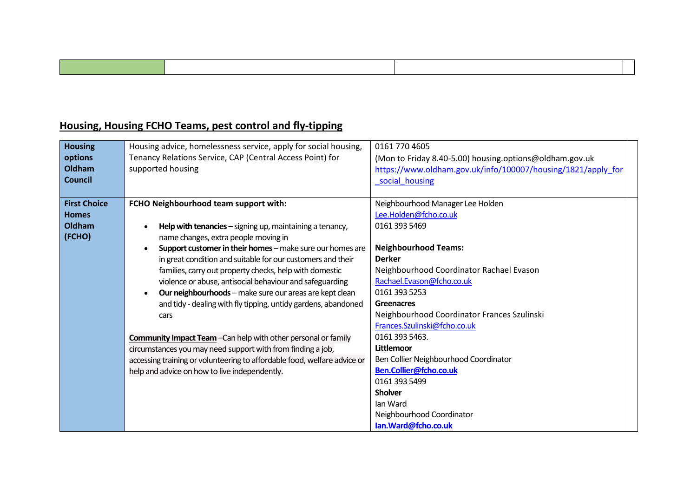### **Housing, Housing FCHO Teams, pest control and fly-tipping**

| <b>Housing</b><br>options | Housing advice, homelessness service, apply for social housing,<br>Tenancy Relations Service, CAP (Central Access Point) for | 0161 770 4605                                                                                                           |
|---------------------------|------------------------------------------------------------------------------------------------------------------------------|-------------------------------------------------------------------------------------------------------------------------|
| Oldham                    | supported housing                                                                                                            | (Mon to Friday 8.40-5.00) housing.options@oldham.gov.uk<br>https://www.oldham.gov.uk/info/100007/housing/1821/apply_for |
| <b>Council</b>            |                                                                                                                              | social housing                                                                                                          |
|                           |                                                                                                                              |                                                                                                                         |
| <b>First Choice</b>       | FCHO Neighbourhood team support with:                                                                                        | Neighbourhood Manager Lee Holden                                                                                        |
| <b>Homes</b>              |                                                                                                                              | Lee.Holden@fcho.co.uk                                                                                                   |
| Oldham                    | Help with tenancies - signing up, maintaining a tenancy,                                                                     | 0161 393 5469                                                                                                           |
| (FCHO)                    | name changes, extra people moving in                                                                                         |                                                                                                                         |
|                           | Support customer in their homes - make sure our homes are                                                                    | <b>Neighbourhood Teams:</b>                                                                                             |
|                           | in great condition and suitable for our customers and their                                                                  | <b>Derker</b>                                                                                                           |
|                           | families, carry out property checks, help with domestic                                                                      | Neighbourhood Coordinator Rachael Evason                                                                                |
|                           | violence or abuse, antisocial behaviour and safeguarding                                                                     | Rachael.Evason@fcho.co.uk                                                                                               |
|                           | <b>Our neighbourhoods</b> – make sure our areas are kept clean                                                               | 0161 393 5253                                                                                                           |
|                           | and tidy - dealing with fly tipping, untidy gardens, abandoned                                                               | <b>Greenacres</b>                                                                                                       |
|                           | cars                                                                                                                         | Neighbourhood Coordinator Frances Szulinski                                                                             |
|                           |                                                                                                                              | Frances.Szulinski@fcho.co.uk                                                                                            |
|                           | <b>Community Impact Team</b> - Can help with other personal or family                                                        | 0161 393 5463.                                                                                                          |
|                           | circumstances you may need support with from finding a job,                                                                  | Littlemoor                                                                                                              |
|                           | accessing training or volunteering to affordable food, welfare advice or                                                     | Ben Collier Neighbourhood Coordinator                                                                                   |
|                           | help and advice on how to live independently.                                                                                | Ben.Collier@fcho.co.uk                                                                                                  |
|                           |                                                                                                                              | 0161 393 5499                                                                                                           |
|                           |                                                                                                                              | <b>Sholver</b>                                                                                                          |
|                           |                                                                                                                              | Ian Ward                                                                                                                |
|                           |                                                                                                                              | Neighbourhood Coordinator                                                                                               |
|                           |                                                                                                                              | lan.Ward@fcho.co.uk                                                                                                     |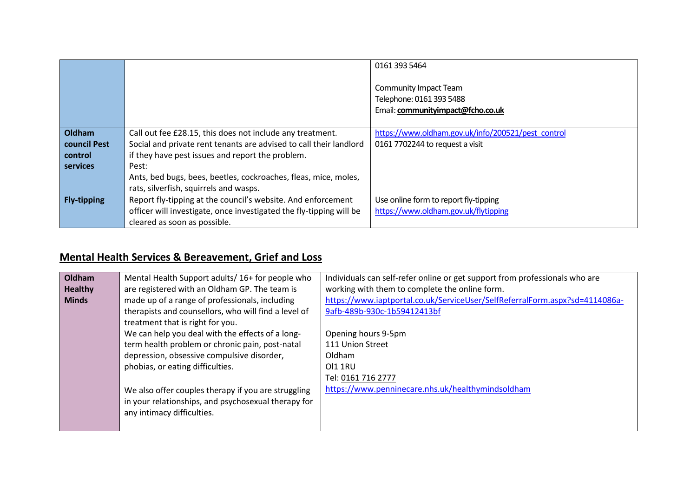|                     |                                                                     | 0161 393 5464                                      |  |
|---------------------|---------------------------------------------------------------------|----------------------------------------------------|--|
|                     |                                                                     | <b>Community Impact Team</b>                       |  |
|                     |                                                                     | Telephone: 0161 393 5488                           |  |
|                     |                                                                     | Email: communityimpact@fcho.co.uk                  |  |
|                     |                                                                     |                                                    |  |
| Oldham              | Call out fee £28.15, this does not include any treatment.           | https://www.oldham.gov.uk/info/200521/pest_control |  |
| <b>council Pest</b> | Social and private rent tenants are advised to call their landlord  | 0161 7702244 to request a visit                    |  |
| control             | if they have pest issues and report the problem.                    |                                                    |  |
| services            | Pest:                                                               |                                                    |  |
|                     | Ants, bed bugs, bees, beetles, cockroaches, fleas, mice, moles,     |                                                    |  |
|                     | rats, silverfish, squirrels and wasps.                              |                                                    |  |
| <b>Fly-tipping</b>  | Report fly-tipping at the council's website. And enforcement        | Use online form to report fly-tipping              |  |
|                     | officer will investigate, once investigated the fly-tipping will be | https://www.oldham.gov.uk/flytipping               |  |
|                     | cleared as soon as possible.                                        |                                                    |  |

### **Mental Health Services & Bereavement, Grief and Loss**

| Oldham         | Mental Health Support adults/ 16+ for people who     | Individuals can self-refer online or get support from professionals who are |
|----------------|------------------------------------------------------|-----------------------------------------------------------------------------|
| <b>Healthy</b> | are registered with an Oldham GP. The team is        | working with them to complete the online form.                              |
| <b>Minds</b>   | made up of a range of professionals, including       | https://www.iaptportal.co.uk/ServiceUser/SelfReferralForm.aspx?sd=4114086a- |
|                | therapists and counsellors, who will find a level of | 9afb-489b-930c-1b59412413bf                                                 |
|                | treatment that is right for you.                     |                                                                             |
|                | We can help you deal with the effects of a long-     | Opening hours 9-5pm                                                         |
|                | term health problem or chronic pain, post-natal      | 111 Union Street                                                            |
|                | depression, obsessive compulsive disorder,           | Oldham                                                                      |
|                | phobias, or eating difficulties.                     | <b>OI1 1RU</b>                                                              |
|                |                                                      | Tel: 0161 716 2777                                                          |
|                | We also offer couples therapy if you are struggling  | https://www.penninecare.nhs.uk/healthymindsoldham                           |
|                | in your relationships, and psychosexual therapy for  |                                                                             |
|                | any intimacy difficulties.                           |                                                                             |
|                |                                                      |                                                                             |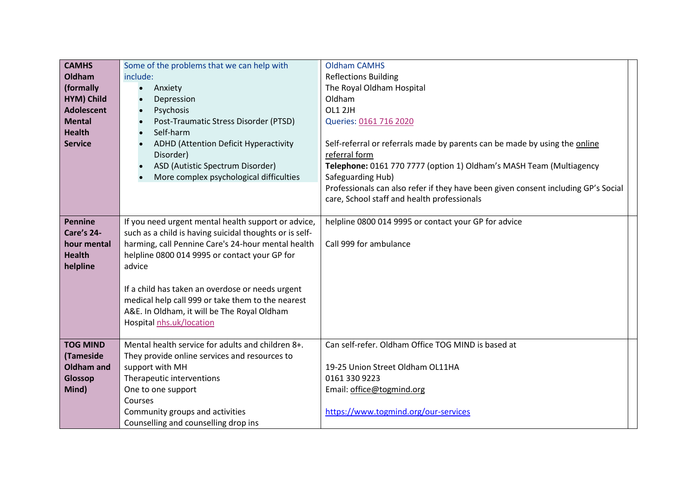| <b>CAMHS</b>      | Some of the problems that we can help with              | <b>Oldham CAMHS</b>                                                                |  |
|-------------------|---------------------------------------------------------|------------------------------------------------------------------------------------|--|
| Oldham            | include:                                                | <b>Reflections Building</b>                                                        |  |
| (formally         | Anxiety<br>$\bullet$                                    | The Royal Oldham Hospital                                                          |  |
| HYM) Child        | Depression<br>$\bullet$                                 | Oldham                                                                             |  |
| <b>Adolescent</b> | Psychosis<br>$\bullet$                                  | OL1 2JH                                                                            |  |
| <b>Mental</b>     | Post-Traumatic Stress Disorder (PTSD)<br>$\bullet$      | Queries: 0161 716 2020                                                             |  |
| <b>Health</b>     | Self-harm<br>$\bullet$                                  |                                                                                    |  |
| <b>Service</b>    | ADHD (Attention Deficit Hyperactivity                   | Self-referral or referrals made by parents can be made by using the online         |  |
|                   | Disorder)                                               | referral form                                                                      |  |
|                   | ASD (Autistic Spectrum Disorder)<br>$\bullet$           | Telephone: 0161 770 7777 (option 1) Oldham's MASH Team (Multiagency                |  |
|                   | More complex psychological difficulties                 | Safeguarding Hub)                                                                  |  |
|                   |                                                         | Professionals can also refer if they have been given consent including GP's Social |  |
|                   |                                                         | care, School staff and health professionals                                        |  |
|                   |                                                         |                                                                                    |  |
| <b>Pennine</b>    | If you need urgent mental health support or advice,     | helpline 0800 014 9995 or contact your GP for advice                               |  |
| <b>Care's 24-</b> | such as a child is having suicidal thoughts or is self- |                                                                                    |  |
| hour mental       | harming, call Pennine Care's 24-hour mental health      | Call 999 for ambulance                                                             |  |
| <b>Health</b>     | helpline 0800 014 9995 or contact your GP for           |                                                                                    |  |
| helpline          | advice                                                  |                                                                                    |  |
|                   |                                                         |                                                                                    |  |
|                   | If a child has taken an overdose or needs urgent        |                                                                                    |  |
|                   | medical help call 999 or take them to the nearest       |                                                                                    |  |
|                   | A&E. In Oldham, it will be The Royal Oldham             |                                                                                    |  |
|                   | Hospital nhs.uk/location                                |                                                                                    |  |
|                   |                                                         |                                                                                    |  |
| <b>TOG MIND</b>   | Mental health service for adults and children 8+.       | Can self-refer. Oldham Office TOG MIND is based at                                 |  |
| (Tameside         | They provide online services and resources to           |                                                                                    |  |
| <b>Oldham and</b> | support with MH                                         | 19-25 Union Street Oldham OL11HA                                                   |  |
| Glossop           | Therapeutic interventions                               | 0161 330 9223                                                                      |  |
| Mind)             | One to one support                                      | Email: office@togmind.org                                                          |  |
|                   | Courses                                                 |                                                                                    |  |
|                   | Community groups and activities                         | https://www.togmind.org/our-services                                               |  |
|                   | Counselling and counselling drop ins                    |                                                                                    |  |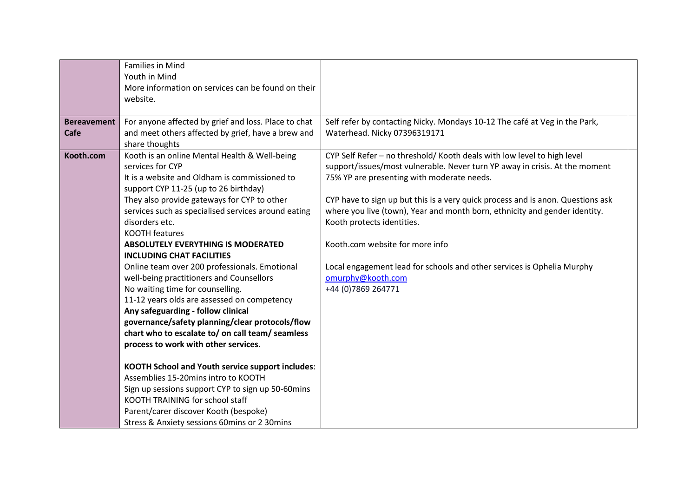|                    | <b>Families in Mind</b><br>Youth in Mind                                          |                                                                                                                           |
|--------------------|-----------------------------------------------------------------------------------|---------------------------------------------------------------------------------------------------------------------------|
|                    | More information on services can be found on their                                |                                                                                                                           |
|                    | website.                                                                          |                                                                                                                           |
|                    |                                                                                   |                                                                                                                           |
| <b>Bereavement</b> | For anyone affected by grief and loss. Place to chat                              | Self refer by contacting Nicky. Mondays 10-12 The café at Veg in the Park,                                                |
| Cafe               | and meet others affected by grief, have a brew and                                | Waterhead. Nicky 07396319171                                                                                              |
|                    | share thoughts                                                                    |                                                                                                                           |
| Kooth.com          | Kooth is an online Mental Health & Well-being<br>services for CYP                 | CYP Self Refer - no threshold/ Kooth deals with low level to high level                                                   |
|                    | It is a website and Oldham is commissioned to                                     | support/issues/most vulnerable. Never turn YP away in crisis. At the moment<br>75% YP are presenting with moderate needs. |
|                    | support CYP 11-25 (up to 26 birthday)                                             |                                                                                                                           |
|                    | They also provide gateways for CYP to other                                       | CYP have to sign up but this is a very quick process and is anon. Questions ask                                           |
|                    | services such as specialised services around eating                               | where you live (town), Year and month born, ethnicity and gender identity.                                                |
|                    | disorders etc.                                                                    | Kooth protects identities.                                                                                                |
|                    | <b>KOOTH features</b>                                                             |                                                                                                                           |
|                    | <b>ABSOLUTELY EVERYTHING IS MODERATED</b>                                         | Kooth.com website for more info                                                                                           |
|                    | <b>INCLUDING CHAT FACILITIES</b>                                                  |                                                                                                                           |
|                    | Online team over 200 professionals. Emotional                                     | Local engagement lead for schools and other services is Ophelia Murphy                                                    |
|                    | well-being practitioners and Counsellors                                          | omurphy@kooth.com                                                                                                         |
|                    | No waiting time for counselling.                                                  | +44 (0) 7869 264771                                                                                                       |
|                    | 11-12 years olds are assessed on competency<br>Any safeguarding - follow clinical |                                                                                                                           |
|                    | governance/safety planning/clear protocols/flow                                   |                                                                                                                           |
|                    | chart who to escalate to/ on call team/ seamless                                  |                                                                                                                           |
|                    | process to work with other services.                                              |                                                                                                                           |
|                    |                                                                                   |                                                                                                                           |
|                    | <b>KOOTH School and Youth service support includes:</b>                           |                                                                                                                           |
|                    | Assemblies 15-20mins intro to KOOTH                                               |                                                                                                                           |
|                    | Sign up sessions support CYP to sign up 50-60mins                                 |                                                                                                                           |
|                    | KOOTH TRAINING for school staff                                                   |                                                                                                                           |
|                    | Parent/carer discover Kooth (bespoke)                                             |                                                                                                                           |
|                    | Stress & Anxiety sessions 60mins or 2 30mins                                      |                                                                                                                           |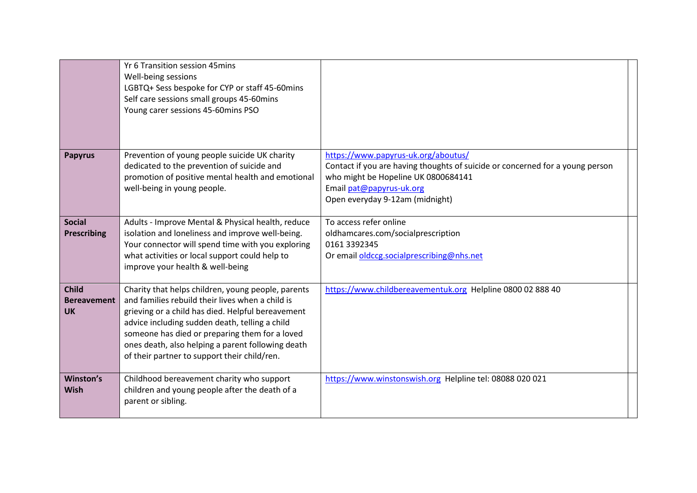|                                                 | Yr 6 Transition session 45mins<br>Well-being sessions<br>LGBTQ+ Sess bespoke for CYP or staff 45-60mins<br>Self care sessions small groups 45-60mins<br>Young carer sessions 45-60mins PSO                                                                                                                                                                           |                                                                                                                                                                                                                            |  |
|-------------------------------------------------|----------------------------------------------------------------------------------------------------------------------------------------------------------------------------------------------------------------------------------------------------------------------------------------------------------------------------------------------------------------------|----------------------------------------------------------------------------------------------------------------------------------------------------------------------------------------------------------------------------|--|
| <b>Papyrus</b>                                  | Prevention of young people suicide UK charity<br>dedicated to the prevention of suicide and<br>promotion of positive mental health and emotional<br>well-being in young people.                                                                                                                                                                                      | https://www.papyrus-uk.org/aboutus/<br>Contact if you are having thoughts of suicide or concerned for a young person<br>who might be Hopeline UK 0800684141<br>Email pat@papyrus-uk.org<br>Open everyday 9-12am (midnight) |  |
| <b>Social</b><br><b>Prescribing</b>             | Adults - Improve Mental & Physical health, reduce<br>isolation and loneliness and improve well-being.<br>Your connector will spend time with you exploring<br>what activities or local support could help to<br>improve your health & well-being                                                                                                                     | To access refer online<br>oldhamcares.com/socialprescription<br>0161 3392345<br>Or email oldccg.socialprescribing@nhs.net                                                                                                  |  |
| <b>Child</b><br><b>Bereavement</b><br><b>UK</b> | Charity that helps children, young people, parents<br>and families rebuild their lives when a child is<br>grieving or a child has died. Helpful bereavement<br>advice including sudden death, telling a child<br>someone has died or preparing them for a loved<br>ones death, also helping a parent following death<br>of their partner to support their child/ren. | https://www.childbereavementuk.org Helpline 0800 02 888 40                                                                                                                                                                 |  |
| Winston's<br>Wish                               | Childhood bereavement charity who support<br>children and young people after the death of a<br>parent or sibling.                                                                                                                                                                                                                                                    | https://www.winstonswish.org Helpline tel: 08088 020 021                                                                                                                                                                   |  |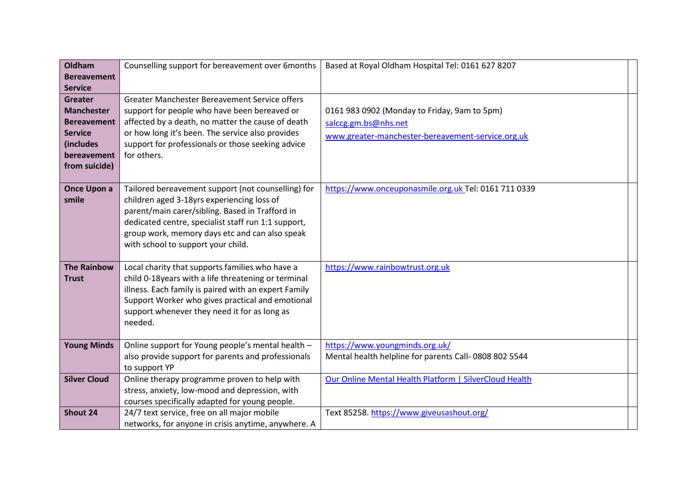| Oldham              | Counselling support for bereavement over 6months     | Based at Royal Oldham Hospital Tel: 0161 627 8207      |
|---------------------|------------------------------------------------------|--------------------------------------------------------|
| <b>Bereavement</b>  |                                                      |                                                        |
| <b>Service</b>      |                                                      |                                                        |
| <b>Greater</b>      | Greater Manchester Bereavement Service offers        |                                                        |
| <b>Manchester</b>   | support for people who have been bereaved or         | 0161 983 0902 (Monday to Friday, 9am to 5pm)           |
| <b>Bereavement</b>  | affected by a death, no matter the cause of death    | salccg.gm.bs@nhs.net                                   |
| <b>Service</b>      | or how long it's been. The service also provides     | www.greater-manchester-bereavement-service.org.uk      |
| (includes           | support for professionals or those seeking advice    |                                                        |
| bereavement         | for others.                                          |                                                        |
| from suicide)       |                                                      |                                                        |
|                     |                                                      |                                                        |
| Once Upon a         | Tailored bereavement support (not counselling) for   | https://www.onceuponasmile.org.uk Tel: 0161 711 0339   |
| smile               | children aged 3-18yrs experiencing loss of           |                                                        |
|                     | parent/main carer/sibling. Based in Trafford in      |                                                        |
|                     | dedicated centre, specialist staff run 1:1 support,  |                                                        |
|                     | group work, memory days etc and can also speak       |                                                        |
|                     | with school to support your child.                   |                                                        |
|                     |                                                      |                                                        |
| <b>The Rainbow</b>  | Local charity that supports families who have a      | https://www.rainbowtrust.org.uk                        |
| <b>Trust</b>        | child 0-18years with a life threatening or terminal  |                                                        |
|                     | illness. Each family is paired with an expert Family |                                                        |
|                     | Support Worker who gives practical and emotional     |                                                        |
|                     | support whenever they need it for as long as         |                                                        |
|                     | needed.                                              |                                                        |
|                     |                                                      |                                                        |
| <b>Young Minds</b>  | Online support for Young people's mental health -    | https://www.youngminds.org.uk/                         |
|                     | also provide support for parents and professionals   | Mental health helpline for parents Call-0808 802 5544  |
|                     | to support YP                                        |                                                        |
| <b>Silver Cloud</b> | Online therapy programme proven to help with         | Our Online Mental Health Platform   SilverCloud Health |
|                     | stress, anxiety, low-mood and depression, with       |                                                        |
|                     | courses specifically adapted for young people.       |                                                        |
| Shout 24            | 24/7 text service, free on all major mobile          | Text 85258. https://www.giveusashout.org/              |
|                     | networks, for anyone in crisis anytime, anywhere. A  |                                                        |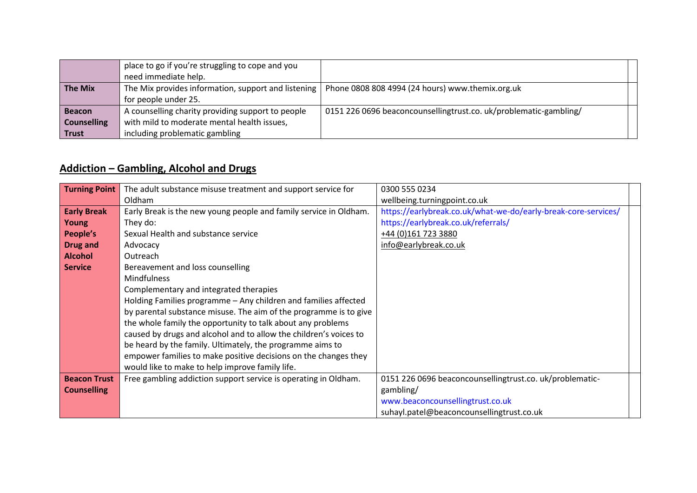|                    | place to go if you're struggling to cope and you  |                                                                                                        |  |
|--------------------|---------------------------------------------------|--------------------------------------------------------------------------------------------------------|--|
|                    | need immediate help.                              |                                                                                                        |  |
| <b>The Mix</b>     |                                                   | The Mix provides information, support and listening   Phone 0808 808 4994 (24 hours) www.themix.org.uk |  |
|                    | for people under 25.                              |                                                                                                        |  |
| <b>Beacon</b>      | A counselling charity providing support to people | 0151 226 0696 beaconcounsellingtrust.co. uk/problematic-gambling/                                      |  |
| <b>Counselling</b> | with mild to moderate mental health issues,       |                                                                                                        |  |
| <b>Trust</b>       | including problematic gambling                    |                                                                                                        |  |

#### **Addiction – Gambling, Alcohol and Drugs**

| <b>Turning Point</b> | The adult substance misuse treatment and support service for      | 0300 555 0234                                                  |
|----------------------|-------------------------------------------------------------------|----------------------------------------------------------------|
|                      | Oldham                                                            | wellbeing.turningpoint.co.uk                                   |
| <b>Early Break</b>   | Early Break is the new young people and family service in Oldham. | https://earlybreak.co.uk/what-we-do/early-break-core-services/ |
| Young                | They do:                                                          | https://earlybreak.co.uk/referrals/                            |
| People's             | Sexual Health and substance service                               | +44 (0)161 723 3880                                            |
| <b>Drug and</b>      | Advocacy                                                          | info@earlybreak.co.uk                                          |
| <b>Alcohol</b>       | Outreach                                                          |                                                                |
| <b>Service</b>       | Bereavement and loss counselling                                  |                                                                |
|                      | <b>Mindfulness</b>                                                |                                                                |
|                      | Complementary and integrated therapies                            |                                                                |
|                      | Holding Families programme - Any children and families affected   |                                                                |
|                      | by parental substance misuse. The aim of the programme is to give |                                                                |
|                      | the whole family the opportunity to talk about any problems       |                                                                |
|                      | caused by drugs and alcohol and to allow the children's voices to |                                                                |
|                      | be heard by the family. Ultimately, the programme aims to         |                                                                |
|                      | empower families to make positive decisions on the changes they   |                                                                |
|                      | would like to make to help improve family life.                   |                                                                |
| <b>Beacon Trust</b>  | Free gambling addiction support service is operating in Oldham.   | 0151 226 0696 beaconcounsellingtrust.co. uk/problematic-       |
| <b>Counselling</b>   |                                                                   | gambling/                                                      |
|                      |                                                                   | www.beaconcounsellingtrust.co.uk                               |
|                      |                                                                   | suhayl.patel@beaconcounsellingtrust.co.uk                      |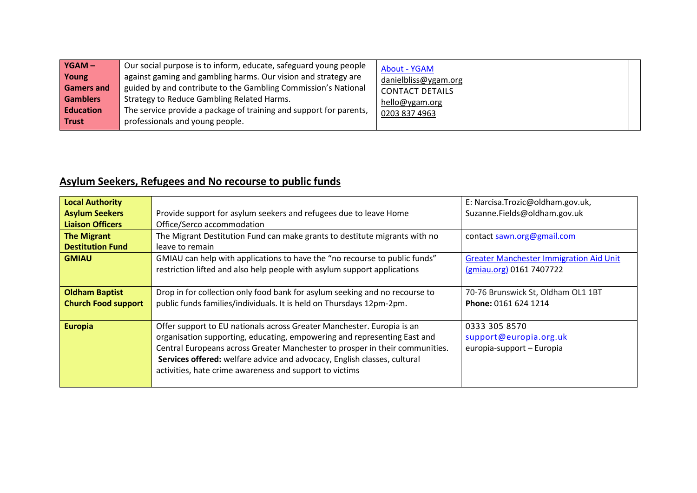# **Asylum Seekers, Refugees and No recourse to public funds**

| <b>Local Authority</b><br><b>Asylum Seekers</b><br><b>Liaison Officers</b> | Provide support for asylum seekers and refugees due to leave Home<br>Office/Serco accommodation                                                                                                                                                                                                                                                                           | E: Narcisa.Trozic@oldham.gov.uk,<br>Suzanne.Fields@oldham.gov.uk           |
|----------------------------------------------------------------------------|---------------------------------------------------------------------------------------------------------------------------------------------------------------------------------------------------------------------------------------------------------------------------------------------------------------------------------------------------------------------------|----------------------------------------------------------------------------|
| <b>The Migrant</b><br><b>Destitution Fund</b>                              | The Migrant Destitution Fund can make grants to destitute migrants with no<br>leave to remain                                                                                                                                                                                                                                                                             | contact sawn.org@gmail.com                                                 |
| <b>GMIAU</b>                                                               | GMIAU can help with applications to have the "no recourse to public funds"<br>restriction lifted and also help people with asylum support applications                                                                                                                                                                                                                    | <b>Greater Manchester Immigration Aid Unit</b><br>(gmiau.org) 0161 7407722 |
| <b>Oldham Baptist</b><br><b>Church Food support</b>                        | Drop in for collection only food bank for asylum seeking and no recourse to<br>public funds families/individuals. It is held on Thursdays 12pm-2pm.                                                                                                                                                                                                                       | 70-76 Brunswick St, Oldham OL1 1BT<br>Phone: 0161 624 1214                 |
| <b>Europia</b>                                                             | Offer support to EU nationals across Greater Manchester. Europia is an<br>organisation supporting, educating, empowering and representing East and<br>Central Europeans across Greater Manchester to prosper in their communities.<br>Services offered: welfare advice and advocacy, English classes, cultural<br>activities, hate crime awareness and support to victims | 0333 305 8570<br>support@europia.org.uk<br>europia-support - Europia       |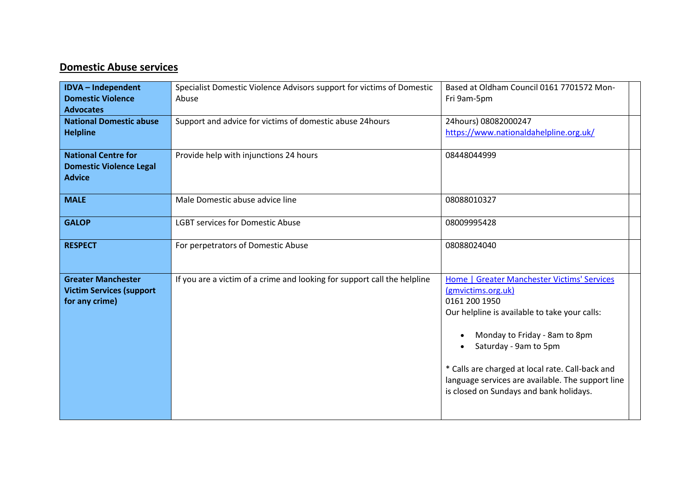#### **Domestic Abuse services**

| <b>IDVA</b> - Independent<br><b>Domestic Violence</b><br><b>Advocates</b>      | Specialist Domestic Violence Advisors support for victims of Domestic<br>Abuse | Based at Oldham Council 0161 7701572 Mon-<br>Fri 9am-5pm                                                                                                                                                                                                                                                                                          |
|--------------------------------------------------------------------------------|--------------------------------------------------------------------------------|---------------------------------------------------------------------------------------------------------------------------------------------------------------------------------------------------------------------------------------------------------------------------------------------------------------------------------------------------|
| <b>National Domestic abuse</b><br><b>Helpline</b>                              | Support and advice for victims of domestic abuse 24hours                       | 24hours) 08082000247<br>https://www.nationaldahelpline.org.uk/                                                                                                                                                                                                                                                                                    |
| <b>National Centre for</b><br><b>Domestic Violence Legal</b><br><b>Advice</b>  | Provide help with injunctions 24 hours                                         | 08448044999                                                                                                                                                                                                                                                                                                                                       |
| <b>MALE</b>                                                                    | Male Domestic abuse advice line                                                | 08088010327                                                                                                                                                                                                                                                                                                                                       |
| <b>GALOP</b>                                                                   | <b>LGBT services for Domestic Abuse</b>                                        | 08009995428                                                                                                                                                                                                                                                                                                                                       |
| <b>RESPECT</b>                                                                 | For perpetrators of Domestic Abuse                                             | 08088024040                                                                                                                                                                                                                                                                                                                                       |
| <b>Greater Manchester</b><br><b>Victim Services (support</b><br>for any crime) | If you are a victim of a crime and looking for support call the helpline       | Home   Greater Manchester Victims' Services<br>(gmvictims.org.uk)<br>0161 200 1950<br>Our helpline is available to take your calls:<br>Monday to Friday - 8am to 8pm<br>Saturday - 9am to 5pm<br>* Calls are charged at local rate. Call-back and<br>language services are available. The support line<br>is closed on Sundays and bank holidays. |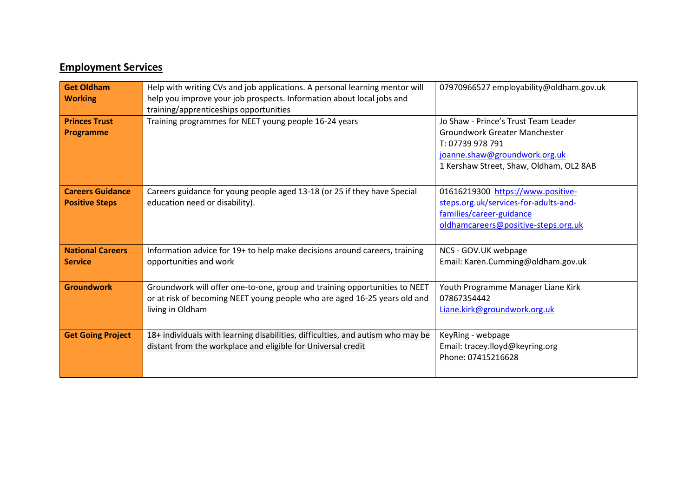#### **Employment Services**

| <b>Get Oldham</b><br><b>Working</b>              | Help with writing CVs and job applications. A personal learning mentor will<br>help you improve your job prospects. Information about local jobs and<br>training/apprenticeships opportunities | 07970966527 employability@oldham.gov.uk                                                                                                                               |  |
|--------------------------------------------------|------------------------------------------------------------------------------------------------------------------------------------------------------------------------------------------------|-----------------------------------------------------------------------------------------------------------------------------------------------------------------------|--|
| <b>Princes Trust</b><br><b>Programme</b>         | Training programmes for NEET young people 16-24 years                                                                                                                                          | Jo Shaw - Prince's Trust Team Leader<br>Groundwork Greater Manchester<br>T: 07739 978 791<br>joanne.shaw@groundwork.org.uk<br>1 Kershaw Street, Shaw, Oldham, OL2 8AB |  |
| <b>Careers Guidance</b><br><b>Positive Steps</b> | Careers guidance for young people aged 13-18 (or 25 if they have Special<br>education need or disability).                                                                                     | 01616219300 https://www.positive-<br>steps.org.uk/services-for-adults-and-<br>families/career-guidance<br>oldhamcareers@positive-steps.org.uk                         |  |
| <b>National Careers</b><br><b>Service</b>        | Information advice for 19+ to help make decisions around careers, training<br>opportunities and work                                                                                           | NCS - GOV.UK webpage<br>Email: Karen.Cumming@oldham.gov.uk                                                                                                            |  |
| <b>Groundwork</b>                                | Groundwork will offer one-to-one, group and training opportunities to NEET<br>or at risk of becoming NEET young people who are aged 16-25 years old and<br>living in Oldham                    | Youth Programme Manager Liane Kirk<br>07867354442<br>Liane.kirk@groundwork.org.uk                                                                                     |  |
| <b>Get Going Project</b>                         | 18+ individuals with learning disabilities, difficulties, and autism who may be<br>distant from the workplace and eligible for Universal credit                                                | KeyRing - webpage<br>Email: tracey.lloyd@keyring.org<br>Phone: 07415216628                                                                                            |  |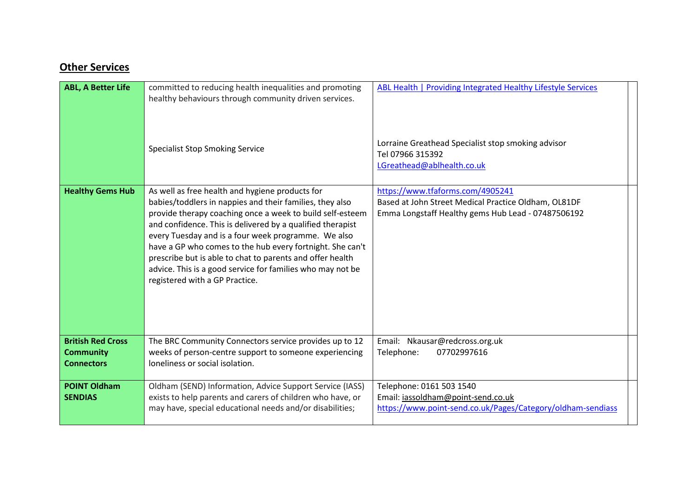#### **Other Services**

| <b>ABL, A Better Life</b>                                         | committed to reducing health inequalities and promoting<br>healthy behaviours through community driven services.                                                                                                                                                                                                                                                                                                                                                                                                        | ABL Health   Providing Integrated Healthy Lifestyle Services                                                                                   |  |
|-------------------------------------------------------------------|-------------------------------------------------------------------------------------------------------------------------------------------------------------------------------------------------------------------------------------------------------------------------------------------------------------------------------------------------------------------------------------------------------------------------------------------------------------------------------------------------------------------------|------------------------------------------------------------------------------------------------------------------------------------------------|--|
|                                                                   | <b>Specialist Stop Smoking Service</b>                                                                                                                                                                                                                                                                                                                                                                                                                                                                                  | Lorraine Greathead Specialist stop smoking advisor<br>Tel 07966 315392<br>LGreathead@ablhealth.co.uk                                           |  |
| <b>Healthy Gems Hub</b>                                           | As well as free health and hygiene products for<br>babies/toddlers in nappies and their families, they also<br>provide therapy coaching once a week to build self-esteem<br>and confidence. This is delivered by a qualified therapist<br>every Tuesday and is a four week programme. We also<br>have a GP who comes to the hub every fortnight. She can't<br>prescribe but is able to chat to parents and offer health<br>advice. This is a good service for families who may not be<br>registered with a GP Practice. | https://www.tfaforms.com/4905241<br>Based at John Street Medical Practice Oldham, OL81DF<br>Emma Longstaff Healthy gems Hub Lead - 07487506192 |  |
| <b>British Red Cross</b><br><b>Community</b><br><b>Connectors</b> | The BRC Community Connectors service provides up to 12<br>weeks of person-centre support to someone experiencing<br>loneliness or social isolation.                                                                                                                                                                                                                                                                                                                                                                     | Email: Nkausar@redcross.org.uk<br>Telephone:<br>07702997616                                                                                    |  |
| <b>POINT Oldham</b><br><b>SENDIAS</b>                             | Oldham (SEND) Information, Advice Support Service (IASS)<br>exists to help parents and carers of children who have, or<br>may have, special educational needs and/or disabilities;                                                                                                                                                                                                                                                                                                                                      | Telephone: 0161 503 1540<br>Email: iassoldham@point-send.co.uk<br>https://www.point-send.co.uk/Pages/Category/oldham-sendiass                  |  |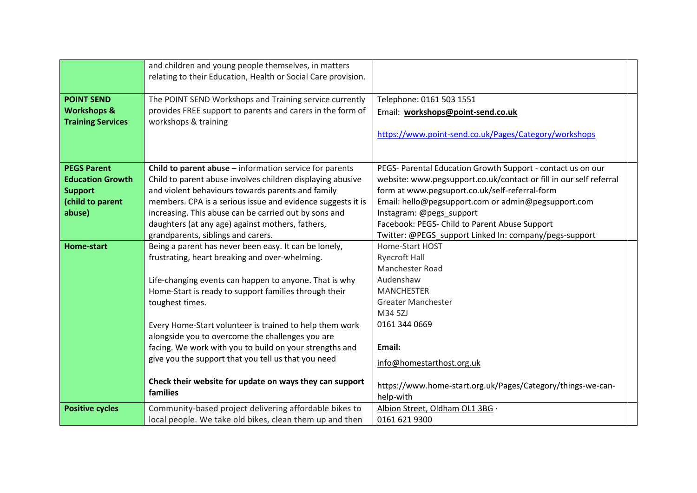|                          | and children and young people themselves, in matters          |                                                                    |
|--------------------------|---------------------------------------------------------------|--------------------------------------------------------------------|
|                          | relating to their Education, Health or Social Care provision. |                                                                    |
| <b>POINT SEND</b>        | The POINT SEND Workshops and Training service currently       | Telephone: 0161 503 1551                                           |
| <b>Workshops &amp;</b>   | provides FREE support to parents and carers in the form of    | Email: workshops@point-send.co.uk                                  |
| <b>Training Services</b> | workshops & training                                          |                                                                    |
|                          |                                                               | https://www.point-send.co.uk/Pages/Category/workshops              |
|                          |                                                               |                                                                    |
|                          |                                                               |                                                                    |
| <b>PEGS Parent</b>       | Child to parent abuse - information service for parents       | PEGS- Parental Education Growth Support - contact us on our        |
| <b>Education Growth</b>  | Child to parent abuse involves children displaying abusive    | website: www.pegsupport.co.uk/contact or fill in our self referral |
| <b>Support</b>           | and violent behaviours towards parents and family             | form at www.pegsuport.co.uk/self-referral-form                     |
| (child to parent         | members. CPA is a serious issue and evidence suggests it is   | Email: hello@pegsupport.com or admin@pegsupport.com                |
| abuse)                   | increasing. This abuse can be carried out by sons and         | Instagram: @pegs_support                                           |
|                          | daughters (at any age) against mothers, fathers,              | Facebook: PEGS- Child to Parent Abuse Support                      |
|                          | grandparents, siblings and carers.                            | Twitter: @PEGS support Linked In: company/pegs-support             |
| <b>Home-start</b>        | Being a parent has never been easy. It can be lonely,         | Home-Start HOST                                                    |
|                          | frustrating, heart breaking and over-whelming.                | <b>Ryecroft Hall</b>                                               |
|                          |                                                               | Manchester Road                                                    |
|                          | Life-changing events can happen to anyone. That is why        | Audenshaw                                                          |
|                          | Home-Start is ready to support families through their         | <b>MANCHESTER</b>                                                  |
|                          | toughest times.                                               | <b>Greater Manchester</b>                                          |
|                          |                                                               | M34 5ZJ                                                            |
|                          | Every Home-Start volunteer is trained to help them work       | 0161 344 0669                                                      |
|                          | alongside you to overcome the challenges you are              |                                                                    |
|                          | facing. We work with you to build on your strengths and       | Email:                                                             |
|                          | give you the support that you tell us that you need           | info@homestarthost.org.uk                                          |
|                          | Check their website for update on ways they can support       |                                                                    |
|                          | families                                                      | https://www.home-start.org.uk/Pages/Category/things-we-can-        |
|                          |                                                               | help-with                                                          |
| <b>Positive cycles</b>   | Community-based project delivering affordable bikes to        | Albion Street, Oldham OL1 3BG ·                                    |
|                          | local people. We take old bikes, clean them up and then       | 0161 621 9300                                                      |